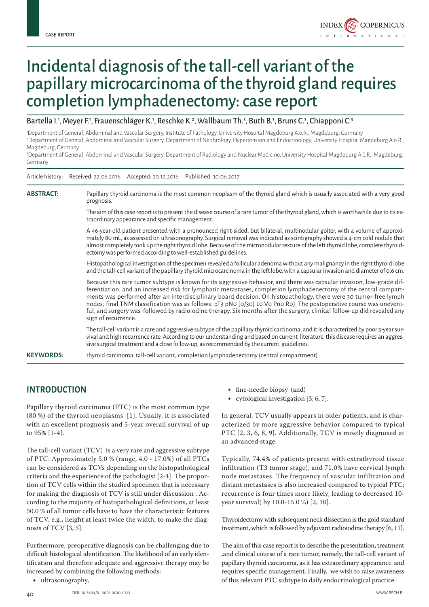

# Incidental diagnosis of the tall-cell variant of the papillary microcarcinoma of the thyroid gland requires completion lymphadenectomy: case report

#### Bartella I.<sup>1</sup>, Meyer F.<sup>1</sup>, Frauenschläger K.<sup>1</sup>, Reschke K.<sup>2</sup>, Wallbaum Th.<sup>3</sup>, Buth B.<sup>3</sup>, Bruns C.<sup>3</sup>, Chiapponi C.<sup>3</sup>

1 Department of General, Abdominal and Vascular Surgery, Institute of Pathology, University Hospital Magdeburg A.ö.R., Magdeburg, Germany 2 Department of General, Abdominal and Vascular Surgery, Department of Nephrology, Hypertension and Endocrinology, University Hospital Magdeburg A.ö.R., Magdeburg, Germany

3 Department of General, Abdominal and Vascular Surgery, Department of Radiology and Nuclear Medicine, University Hospital Magdeburg A.ö.R., Magdeburg, Germany

|                  | Article history:     Received: 22.08.2016     Accepted: 20.12.2016     Published: 30.06.2017                                                                                                                                                                                                                                                                                                                                                                                                                                                                                                                                           |
|------------------|----------------------------------------------------------------------------------------------------------------------------------------------------------------------------------------------------------------------------------------------------------------------------------------------------------------------------------------------------------------------------------------------------------------------------------------------------------------------------------------------------------------------------------------------------------------------------------------------------------------------------------------|
| <b>ABSTRACT:</b> | Papillary thyroid carcinoma is the most common neoplasm of the thyroid gland which is usually associated with a very good<br>prognosis.                                                                                                                                                                                                                                                                                                                                                                                                                                                                                                |
|                  | The aim of this case report is to present the disease course of a rare tumor of the thyroid gland, which is worthwhile due to its ex-<br>traordinary appearance and specific management.                                                                                                                                                                                                                                                                                                                                                                                                                                               |
|                  | A 46-year-old patient presented with a pronounced right-sided, but bilateral, multinodular goiter, with a volume of approxi-<br>mately 80 mL, as assessed on ultrasonography. Surgical removal was indicated as scintigraphy showed a 4-cm cold nodule that<br>almost completely took up the right thyroid lobe. Because of the micronodular texture of the left thyroid lobe, complete thyroid-<br>ectomy was performed according to well-established guidelines.                                                                                                                                                                     |
|                  | Histopathological investigation of the specimen revealed a follicular adenoma without any malignancy in the right thyroid lobe<br>and the tall-cell variant of the papillary thyroid microcarcinoma in the left lobe, with a capsular invasion and diameter of 0.6 cm.                                                                                                                                                                                                                                                                                                                                                                 |
|                  | Because this rare tumor subtype is known for its aggressive behavior, and there was capsular invasion, low-grade dif-<br>ferentiation, and an increased risk for lymphatic metastases, completion lymphadenectomy of the central compart-<br>ments was performed after an interdisciplinary board decision. On histopathology, there were 30 tumor-free lymph<br>nodes; final TNM classification was as follows: pT3 pNo [0/30] Lo Vo Pno Ro). The postoperative course was unevent-<br>ful, and surgery was followed by radioiodine therapy. Six months after the surgery, clinical follow-up did revealed any<br>sign of recurrence. |
|                  | The tall-cell variant is a rare and aggressive subtype of the papillary thyroid carcinoma, and it is characterized by poor 5-year sur-<br>vival and high recurrence rate. According to our understanding and based on current literature, this disease requires an aggres-<br>sive surgical treatment and a close follow-up, as recommended by the current guidelines.                                                                                                                                                                                                                                                                 |
| <b>KEYWORDS:</b> | thyroid carcinoma, tall-cell variant, completion lymphadenectomy (central compartment)                                                                                                                                                                                                                                                                                                                                                                                                                                                                                                                                                 |

## **INTRODUCTION**

Papillary thyroid carcinoma (PTC) is the most common type (80 %) of the thyroid neoplasms [1]. Usually, it is associated with an excellent prognosis and 5-year overall survival of up to 95% [1-4].

Article history: Received: 22.08.2016 Accepted: 20.12.2016 Published: 30.06.2017

The tall-cell variant (TCV) is a very rare and aggressive subtype of PTC. Approximately 5.0 % (range, 4.0 - 17.0%) of all PTCs can be considered as TCVs depending on the histopathological criteria and the experience of the pathologist [2-4]. The proportion of TCV cells within the studied specimen that is necessary for making the diagnosis of TCV is still under discussion . According to the majority of histopathological definitions, at least 50.0 % of all tumor cells have to have the characteristic features of TCV, e.g., height at least twice the width, to make the diagnosis of TCV [3, 5].

Furthermore, preoperative diagnosis can be challenging due to difficult histological identification. The likelihood of an early identification and therefore adequate and aggressive therapy may be increased by combining the following methods:

• ultrasonography,

- fine-needle biopsy (and)
- cytological investigation [3, 6, 7].

In general, TCV usually appears in older patients, and is characterized by more aggressive behavior compared to typical PTC [2, 3, 6, 8, 9]. Additionally, TCV is mostly diagnosed at an advanced stage.

Typically, 74.4% of patients present with extrathyroid tissue infiltration (T3 tumor stage), and 71.0% have cervical lymph node metastases. The frequency of vascular infiltration and distant metastases is also increased compared to typical PTC; recurrence is four times more likely, leading to decreased 10 year survival( by 10.0-15.0 %) [2, 10].

Thyroidectomy with subsequent neck dissection is the gold standard treatment, which is followed by adjuvant radioiodine therapy [6, 11].

The aim of this case report is to describe the presentation, treatment ,and clinical course of a rare tumor, namely, the tall-cell variant of papillary thyroid carcinoma, as it has extraordinary appearance and requires specific management. Finally, we wish to raise awareness of this relevant PTC subtype in daily endocrinological practice.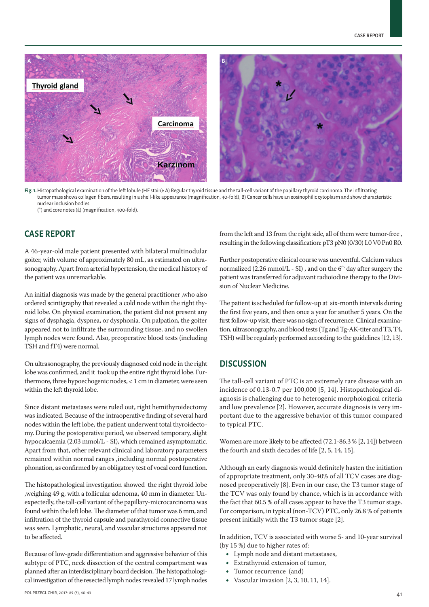

**Fig. 1.** Histopathological examination of the left lobule (HE stain): A) Regular thyroid tissue and the tall-cell variant of the papillary thyroid carcinoma. The infiltrating tumor mass shows collagen fibers, resulting in a shell-like appearance (magnification, 40-fold); B) Cancer cells have an eosinophilic cytoplasm and show characteristic nuclear inclusion bodies

(\*) and core notes (à) (magnification, 400-fold).

# **CASE REPORT**

A 46-year-old male patient presented with bilateral multinodular goiter, with volume of approximately 80 mL, as estimated on ultrasonography. Apart from arterial hypertension, the medical history of the patient was unremarkable.

An initial diagnosis was made by the general practitioner ,who also ordered scintigraphy that revealed a cold node within the right thyroid lobe. On physical examination, the patient did not present any signs of dysphagia, dyspnea, or dysphonia. On palpation, the goiter appeared not to infiltrate the surrounding tissue, and no swollen lymph nodes were found. Also, preoperative blood tests (including TSH and fT4) were normal.

On ultrasonography, the previously diagnosed cold node in the right lobe was confirmed, and it took up the entire right thyroid lobe. Furthermore, three hypoechogenic nodes, < 1 cm in diameter, were seen within the left thyroid lobe.

Since distant metastases were ruled out, right hemithyroidectomy was indicated. Because of the intraoperative finding of several hard nodes within the left lobe, the patient underwent total thyroidectomy. During the postoperative period, we observed temporary, slight hypocalcaemia (2.03 mmol/L - SI), which remained asymptomatic. Apart from that, other relevant clinical and laboratory parameters remained within normal ranges ,including normal postoperative phonation, as confirmed by an obligatory test of vocal cord function.

The histopathological investigation showed the right thyroid lobe ,weighing 49 g, with a follicular adenoma, 40 mm in diameter. Unexpectedly, the tall-cell variant of the papillary-microcarcinoma was found within the left lobe. The diameter of that tumor was 6 mm, and infiltration of the thyroid capsule and parathyroid connective tissue was seen. Lymphatic, neural, and vascular structures appeared not to be affected.

Because of low-grade differentiation and aggressive behavior of this subtype of PTC, neck dissection of the central compartment was planned after an interdisciplinary board decision. The histopathological investigation of the resected lymph nodes revealed 17 lymph nodes

from the left and 13 from the right side, all of them were tumor-free , resulting in the following classification: pT3 pN0 (0/30) L0 V0 Pn0 R0.

Further postoperative clinical course was uneventful. Calcium values normalized  $(2.26 \text{ mmol/L - SI})$ , and on the 6<sup>th</sup> day after surgery the patient was transferred for adjuvant radioiodine therapy to the Division of Nuclear Medicine.

The patient is scheduled for follow-up at six-month intervals during the first five years, and then once a year for another 5 years. On the first follow-up visit, there was no sign of recurrence. Clinical examination, ultrasonography, and blood tests (Tg and Tg-AK-titer and T3, T4, TSH) will be regularly performed according to the guidelines [12, 13].

#### **DISCUSSION**

The tall-cell variant of PTC is an extremely rare disease with an incidence of 0.13-0.7 per 100,000 [5, 14]. Histopathological diagnosis is challenging due to heterogenic morphological criteria and low prevalence [2]. However, accurate diagnosis is very important due to the aggressive behavior of this tumor compared to typical PTC.

Women are more likely to be affected (72.1-86.3 % [2, 14]) between the fourth and sixth decades of life [2, 5, 14, 15].

Although an early diagnosis would definitely hasten the initiation of appropriate treatment, only 30-40% of all TCV cases are diagnosed preoperatively [8]. Even in our case, the T3 tumor stage of the TCV was only found by chance, which is in accordance with the fact that 60.5 % of all cases appear to have the T3 tumor stage. For comparison, in typical (non-TCV) PTC, only 26.8 % of patients present initially with the T3 tumor stage [2].

In addition, TCV is associated with worse 5- and 10-year survival (by 15 %) due to higher rates of:

- Lymph node and distant metastases,
- Extrathyroid extension of tumor,
- Tumor recurrence (and)
- Vascular invasion  $[2, 3, 10, 11, 14]$ .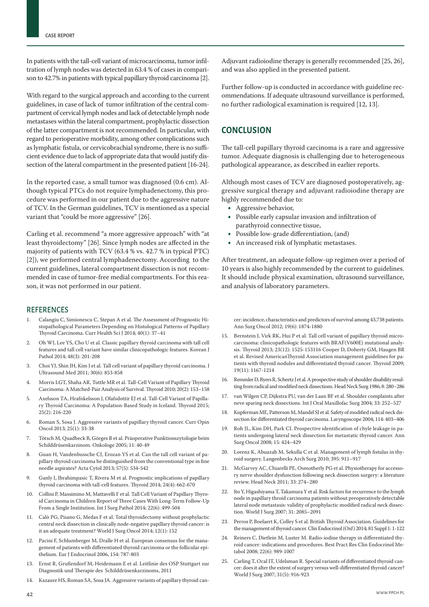In patients with the tall-cell variant of microcarcinoma, tumor infiltration of lymph nodes was detected in 63.4 % of cases in comparison to 42.7% in patients with typical papillary thyroid carcinoma [2].

With regard to the surgical approach and according to the current guidelines, in case of lack of tumor infiltration of the central compartment of cervical lymph nodes and lack of detectable lymph node metastases within the lateral compartment, prophylactic dissection of the latter compartment is not recommended. In particular, with regard to perioperative morbidity, among other complications such as lymphatic fistula, or cervicobrachial syndrome, there is no sufficient evidence due to lack of appropriate data that would justify dissection of the lateral compartment in the presented patient [16-24].

In the reported case, a small tumor was diagnosed (0.6 cm). Although typical PTCs do not require lymphadenectomy, this procedure was performed in our patient due to the aggressive nature of TCV. In the German guidelines, TCV is mentioned as a special variant that "could be more aggressive" [26].

Carling et al. recommend "a more aggressive approach" with "at least thyroidectomy" [26]. Since lymph nodes are affected in the majority of patients with TCV (63.4 % vs. 42.7 % in typical PTC) [2]), we performed central lymphadenectomy. According to the current guidelines, lateral compartment dissection is not recommended in case of tumor-free medial compartments. For this reason, it was not performed in our patient.

#### REFERENCES

- 1. Calangiu C, Simionescu C, Stepan A et al. The Assessment of Prognostic Histopathological Parameters Depending on Histological Patterns of Papillary Thyroid Carcinoma. Curr Health Sci J 2014; 40(1): 37–41
- 2. Oh WJ, Lee YS, Cho U et al. Classic papillary thyroid carcinoma with tall cell features and tall cell variant have similar clinicopathologic features. Korean J Pathol 2014; 48(3): 201-208
- 3. Choi YJ, Shin JH, Kim J et al. Tall cell variant of papillary thyroid carcinoma. J Ultrasound Med 2011; 30(6): 853-858
- 4. Morris LGT, Shaha AR, Tuttle MR et al. Tall-Cell Variant of Papillary Thyroid Carcinoma: A Matched-Pair Analysis of Survival. Thyroid 2010; 20(2): 153–158
- 5. Axelsson TA, Hrafnkelsson J, Olafsdottir EJ et al. Tall-Cell Variant of Papillary Thyroid Carcinoma: A Population-Based Study in Iceland. Thyroid 2015; 25(2): 216-220
- 6. Roman S, Sosa J. Aggressive variants of papillary thyroid cancer. Curr Opin Oncol 2013; 25(1): 33-38
- 7. Tötsch M, Quadbeck B, Görges R et al. Präoperative Punktionszytologie beim Schilddrüsenkarzinom. Onkologe 2005; 11: 40-49
- 8. Guan H, Vandenbussche CJ, Erozan YS et al. Can the tall cell variant of papillary thyroid carcinoma be distinguished from the conventional type in fine needle aspirates? Acta Cytol 2013; 57(5): 534-542
- 9. Ganly I, Ibrahimpasic T, Rivera M et al. Prognostic implications of papillary thyroid carcinoma with tall-cell features. Thyroid 2014; 24(4): 662-670
- 10. Collini P, Massimino M, Mattavelli F et al. Tall Cell Variant of Papillary Thyroid Carcinoma in Children Report of Three Cases With Long-Term Follow-Up From a Single Institution. Int J Surg Pathol 2014; 22(6): 499-504
- 11. Calò PG, Pisano G, Medas F et al. Total thyroidectomy without prophylactic central neck dissection in clinically node-negative papillary thyroid cancer: is it an adequate treatment? World J Surg Oncol 2014; 12(1): 152
- 12. Pacini F, Schlumberger M, Dralle H et al. European consensus for the management of patients with differentiated thyroid carcinoma or the follicular epithelium. Eur J Endocrinol 2006, 154: 787-803
- 13. Ernst R, Grußendorf M, Heidemann E et al. Leitlinie des OSP Stuttgart zur Diagnostik und Therapie des Schilddrüsenkarzinoms, 2011
- Kazaure HS, Roman SA, Sosa JA. Aggressive variants of papillary thyroid can-

Adjuvant radioiodine therapy is generally recommended [25, 26], and was also applied in the presented patient.

Further follow-up is conducted in accordance with guideline recommendations. If adequate ultrasound surveillance is performed, no further radiological examination is required [12, 13].

### **CONCLUSION**

The tall-cell papillary thyroid carcinoma is a rare and aggressive tumor. Adequate diagnosis is challenging due to heterogeneous pathological appearance, as described in earlier reports.

Although most cases of TCV are diagnosed postoperatively, aggressive surgical therapy and adjuvant radioiodine therapy are highly recommended due to:

- Aggressive behavior,
- Possible early capsular invasion and infiltration of parathyroid connective tissue,
- Possible low-grade differentiation, (and)
- An increased risk of lymphatic metastases.

After treatment, an adequate follow-up regimen over a period of 10 years is also highly recommended by the current to guidelines. It should include physical examination, ultrasound surveillance, and analysis of laboratory parameters.

cer: incidence, characteristics and predictors of survival among 43,738 patients. Ann Surg Oncol 2012; 19(6): 1874-1880

- 15. Bernstein J, Virk RK, Hui P et al. Tall cell variant of papillary thyroid microcarcinoma: clinicopathologic features with BRAF(V600E) mutational analysis. Thyroid 2013; 23(12): 1525-153116 Cooper D, Doherty GM, Haugen BR et al. Revised AmericanThyroid Association management guidelines for patients with thyroid nodules and differentiated thyroid cancer. Thyroid 2009; 19(11): 1167-1214
- 16. Remmler D, Byers R, Scheetz J et al. A prospective study of shoulder disability resulting from radical and modified neck dissections. Head Neck Surg 1986; 8: 280–286
- 17. van Wilgen CP, Dijkstra PU, van der Laan BF et al. Shoulder complaints after neve sparing neck dissections. Int J Oral Maxillofac Surg 2004; 33: 252–527
- 18. Kupferman ME, Patterson M, Mandel SJ et al. Safety of modified radical neck dissection for differentiated thyroid carcinoma. Laryngoscope 2004; 114: 403–406
- 19. Roh JL, Kim DH, Park CI. Prospective identification of chyle leakage in patients undergoing lateral neck dissection for metastatic thyroid cancer. Ann Surg Oncol 2008; 15: 424–429
- 20. Lorenz K, Abuazab M, Sekulla C et al. Management of lymph fistulas in thyroid surgery. Langenbecks Arch Surg 2010; 395: 911–917
- 21. McGarvey AC, Chiarelli PE, Osmotherly PG et al. Physiotherapy for accessory nerve shoulder dysfunction following neck dissection surgery: a literature review. Head Neck 2011; 33: 274–280
- 22. Ito Y, Higashiyama T, Takamura Y et al. Risk factors for recurrence to the lymph node in papillary throid carcinoma patients without preoperatively detectable lateral node metastasis: validity of prophylactic modified radical neck dissection. World J Surg 2007; 31: 2085–2091
- 23. Perros P, Boelaert K, Colley S et al. British Thyroid Association. Guidelines for the management of thyroid cancer. Clin Endocrinol (Oxf) 2014; 81 Suppl 1: 1-122
- 24. Reiners C, Dietlein M, Luster M. Radio-iodine therapy in differentiated thyroid cancer: indications and procedures. Best Pract Res Clin Endocrinol Metabol 2008; 22(6): 989-1007
- 25. Carling T, Ocal IT, Udelsman R. Special variants of differentiated thyroid cancer: does it alter the extent of surgery versus well-differentiated thyroid cancer? World J Surg 2007; 31(5): 916-923